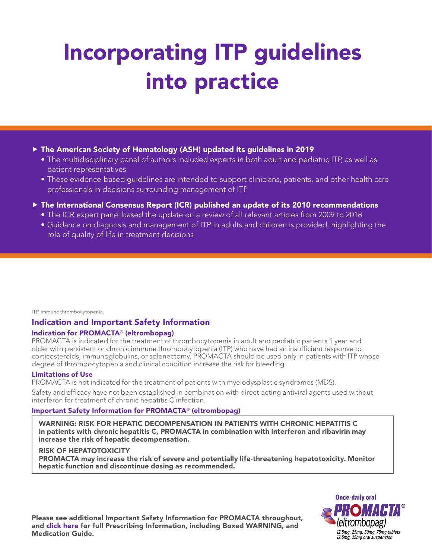# Incorporating ITP guidelines into practice

#### $\blacktriangleright$  The American Society of Hematology (ASH) updated its guidelines in 2019

- The multidisciplinary panel of authors included experts in both adult and pediatric ITP, as well as patient representatives
- These evidence-based guidelines are intended to support clinicians, patients, and other health care professionals in decisions surrounding management of ITP
- $\blacktriangleright$  The International Consensus Report (ICR) published an update of its 2010 recommendations
	- The ICR expert panel based the update on a review of all relevant articles from 2009 to 2018
	- Guidance on diagnosis and management of ITP in adults and children is provided, highlighting the role of quality of life in treatment decisions

#### ITP, immune thrombocytopenia.

### Indication and Important Safety Information

#### Indication for PROMACTA® (eltrombopag)

PROMACTA is indicated for the treatment of thrombocytopenia in adult and pediatric patients 1 year and older with persistent or chronic immune thrombocytopenia (ITP) who have had an insufficient response to corticosteroids, immunoglobulins, or splenectomy. PROMACTA should be used only in patients with ITP whose degree of thrombocytopenia and clinical condition increase the risk for bleeding.

#### Limitations of Use

PROMACTA is not indicated for the treatment of patients with myelodysplastic syndromes (MDS).

Safety and efficacy have not been established in combination with direct-acting antiviral agents used without interferon for treatment of chronic hepatitis C infection.

#### Important Safety Information for PROMACTA® (eltrombopag)

WARNING: RISK FOR HEPATIC DECOMPENSATION IN PATIENTS WITH CHRONIC HEPATITIS C In patients with chronic hepatitis C, PROMACTA in combination with interferon and ribavirin may increase the risk of hepatic decompensation.

#### RISK OF HEPATOTOXICITY

PROMACTA may increase the risk of severe and potentially life-threatening hepatotoxicity. Monitor hepatic function and discontinue dosing as recommended.



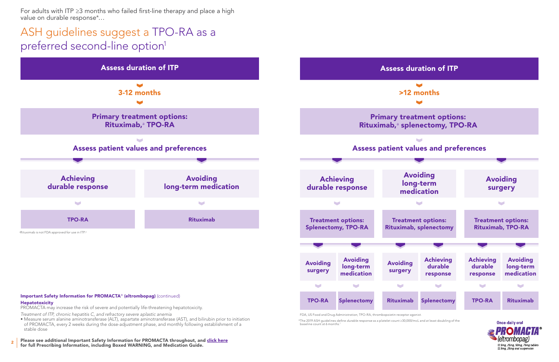2 Please see additional Important Safety Information for PROMACTA throughout, and [click here](https://www.novartis.us/sites/www.novartis.us/files/promacta.pdf) for full Prescribing Information, including Boxed WARNING, and Medication Guide.

## ASH guidelines suggest a TPO-RA as a preferred second-line option<sup>1</sup>

• Measure serum alanine aminotransferase (ALT), aspartate aminotransferase (AST), and bilirubin prior to initiation of PROMACTA, every 2 weeks during the dose-adjustment phase, and monthly following establishment of a stable dose

For adults with ITP ≥3 months who failed first-line therapy and place a high value on durable response\*…

\*The 2019 ASH guidelines define *durable response* as a platelet count ≥30,000/mcL and at least doubling of the





baseline count at 6 months.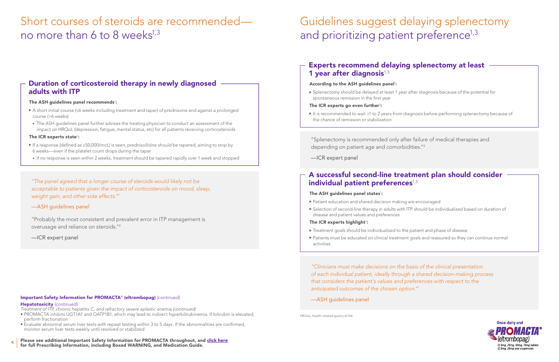4 Please see additional Important Safety Information for PROMACTA throughout, and [click here](https://www.novartis.us/sites/www.novartis.us/files/promacta.pdf) for full Prescribing Information, including Boxed WARNING, and Medication Guide.

- PROMACTA inhibits UGT1A1 and OATP1B1, which may lead to indirect hyperbilirubinemia. If bilirubin is elevated, perform fractionation
- Evaluate abnormal serum liver tests with repeat testing within 3 to 5 days. If the abnormalities are confirmed, monitor serum liver tests weekly until resolved or stabilized

#### Important Safety Information for PROMACTA® (eltrombopag) (continued)

#### Hepatotoxicity (continued)

*Treatment of ITP, chronic hepatitis C, and refractory severe aplastic anemia (continued)*

## Short courses of steroids are recommended no more than 6 to 8 weeks $^{1,3}$

HRQoL, health-related quality of life.

► It is recommended to wait ≥1 to 2 years from diagnosis before performing splenectomy because of

▶ Selection of second-line therapy in adults with ITP should be individualized based on duration of



### Duration of corticosteroid therapy in newly diagnosed adults with ITP

#### The ASH guidelines panel recommends $\,$ :

## Guidelines suggest delaying splenectomy and prioritizing patient preference<sup>1,3</sup>

## Experts recommend delaying splenectomy at least 1 year after diagnosis $1,3$

#### According to the ASH guidelines panel<sup>1</sup>:

- f A short initial course (≤6 weeks including treatment and taper) of prednisone and against a prolonged course (>6 weeks)
- The ASH guidelines panel further advises the treating physician to conduct an assessment of the impact on HRQoL (depression, fatigue, mental status, etc) for all patients receiving corticosteroids

#### The ICR experts state $^3$ :

### A successful second-line treatment plan should consider individual patient preferences $1,3$

#### The ASH guidelines panel states $^{\rm l}$ :

- f If a response (defined as ≥50,000/mcL) is seen, predniso(lo)ne should be tapered, aiming to stop by 6 weeks—even if the platelet count drops during the taper
- If no response is seen within 2 weeks, treatment should be tapered rapidly over 1 week and stopped

- $\blacktriangleright$  Patient education and shared decision making are encouraged
- disease and patient values and preferences

#### The ICR experts highlight $3$ :

- $\blacktriangleright$  Treatment goals should be individualized to the patient and phase of disease
- $\blacktriangleright$  Patients must be educated on clinical treatment goals and reassured so they can continue normal activities

"Probably the most consistent and prevalent error in ITP management is overusage and reliance on steroids."3

—ICR expert panel

*"The panel agreed that a longer course of steroids would likely not be acceptable to patients given the impact of corticosteroids on mood, sleep, weight gain, and other side effects."*<sup>1</sup>

#### —ASH guidelines panel

"Splenectomy is recommended only after failure of medical therapies and depending on patient age and comorbidities."3

—ICR expert panel

f Splenectomy should be delayed at least 1 year after diagnosis because of the potential for spontaneous remission in the first year

#### The ICR experts go even further $3$ :

the chance of remission or stabilization

*"Clinicians must make decisions on the basis of the clinical presentation of each individual patient, ideally through a shared decision-making process that considers the patient's values and preferences with respect to the anticipated outcomes of the chosen option."*<sup>1</sup>

—ASH guidelines panel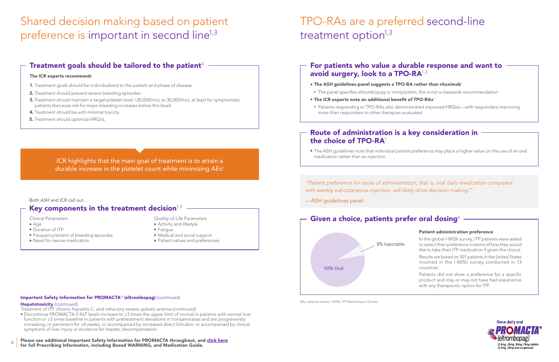6 Please see additional Important Safety Information for PROMACTA throughout, and [click here](https://www.novartis.us/sites/www.novartis.us/files/promacta.pdf) for full Prescribing Information, including Boxed WARNING, and Medication Guide.

## Shared decision making based on patient preference is important in second line<sup>1,3</sup>

## Treatment goals should be tailored to the patient<sup>3</sup>

## TPO-RAs are a preferred second-line treatment option $1,3$

- 1. Treatment goals should be individualized to the patient and phase of disease
- 2. Treatment should prevent severe bleeding episodes
- 3. Treatment should maintain a target platelet level >20,000/mcL to 30,000/mcL at least for symptomatic patients (because risk for major bleeding increases below this level)
- **4.** Treatment should be with minimal toxicity
- **5.** Treatment should optimize HRQoL

#### The ICR experts recommend:

### Route of administration is a key consideration in the choice of TPO-RA1

#### Important Safety Information for PROMACTA® (eltrombopag) (continued)

#### Hepatotoxicity (continued)

 $\blacktriangleright$  The ASH guidelines note that individual patient preference may place a higher value on the use of an oral medication rather than an injection

## For patients who value a durable response and want to avoid surgery, look to a TPO-RA<sup>1,3</sup>

- *Treatment of ITP, chronic hepatitis C, and refractory severe aplastic anemia (continued)*
- Discontinue PROMACTA if ALT levels increase to ≥3 times the upper limit of normal in patients with normal liver function or ≥3 times baseline in patients with pretreatment elevations in transaminases and are progressively increasing; or persistent for ≥4 weeks; or accompanied by increased direct bilirubin; or accompanied by clinical symptoms of liver injury or evidence for hepatic decompensation
- $\triangleright$  The ASH guidelines panel suggests a TPO-RA rather than rituximab<sup>1</sup>
- The panel specifies eltrombopag or romiplostim; this is not a classwide recommendation
- $\triangleright$  The ICR experts note an additional benefit of TPO-RAs<sup>3</sup>
- more than responders to other therapies evaluated

ICR highlights that the main goal of treatment is to attain a durable increase in the platelet count while minimizing AEs<sup>3</sup>

> In the global I-WISh survey, ITP patients were asked to select their preference in terms of how they would like to take their ITP medication if given the choice.

> Results are based on 501 patients in the United States involved in the I-WISh survey conducted in 13

## Patient administration preference countries. with any therapeutic option for ITP. Given a choice, patients prefer oral dosing<sup>4</sup> 8% Injectable 92% Oral

Patients did not show a preference for a specific product and may or may not have had experience



AEs, adverse events; I-WISh, ITP World Impact Survey.

• Patients responding to TPO-RAs also demonstrated improved HRQoL—with responders improving

Clinical Parameters

- $Aq$ e
- $\blacktriangleright$  Duration of ITP
- ▶ Frequency/extent of bleeding episodes
- $\blacktriangleright$  Need for rescue medication

#### Quality-of-Life Parameters

- $\blacktriangleright$  Activity and lifestyle
- $\blacktriangleright$  Fatigue
- $\blacktriangleright$  Medical and social support
- ▶ Patient values and preferences

#### Both ASH and ICR call out…

## Key components in the treatment decision $1,3$  -

*"Patient preference for route of administration, that is, oral daily medication compared with weekly subcutaneous injection, will likely drive decision making."*<sup>1</sup>

—ASH guidelines panel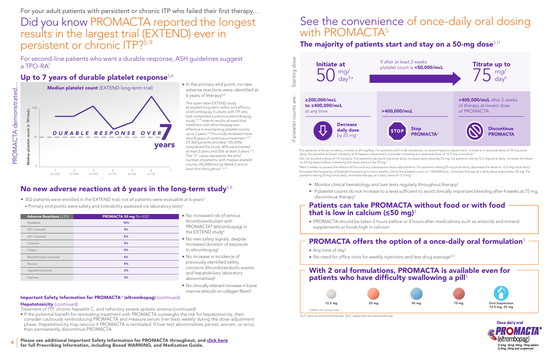Years

8 Please see additional Important Safety Information for PROMACTA throughout, and [click here](https://www.novartis.us/sites/www.novartis.us/files/promacta.pdf) for full Prescribing Information, including Boxed WARNING, and Medication Guide.

#### Important Safety Information for PROMACTA® (eltrombopag) (continued)

#### Hepatotoxicity (continued)

The open-label EXTEND study evaluated long-term safety and efficacy of eltrombopag in adults with ITP who had completed a previous eltrombopag study.5,6,10 Interim results showed that treatment with eltrombopag was effective in maintaining platelet counts up to 3 years.<sup>10</sup> This study reviewed more than 8 years of continuous treatment.<sup>6,10</sup> Of 302 patients enrolled, 135 (45%) completed the study; 60% were treated at least 2 years and 35% at least 3 years.<sup>6,10</sup> The "n" value represents the total number of patients, with median platelet counts ≥50,000/mcL by Week 2 and at least that throughout.<sup>5,6,10</sup>

## No new adverse reactions at 6 years in the long-term study $5.6$

- $\triangleright$  302 patients were enrolled in the EXTEND trial; not all patients were evaluable at 6 years<sup>5</sup>
- Primary end points were safety and tolerability assessed via laboratory tests<sup>6</sup>

- *Treatment of ITP, chronic hepatitis C, and refractory severe aplastic anemia (continued)*
- If the potential benefit for reinitiating treatment with PROMACTA outweighs the risk for hepatotoxicity, then consider cautiously reintroducing PROMACTA and measure serum liver tests weekly during the dose-adjustment phase. Hepatotoxicity may reoccur if PROMACTA is reinitiated. If liver test abnormalities persist, worsen, or recur, then permanently discontinue PROMACTA
- No increased risk of venous thromboembolism with PROMACTA® (eltrombopag) in the EXTEND study<sup>6</sup>
- No new safety signals, despite increased duration of exposure to eltrombopag<sup>6</sup>
- No increase in incidence of previously identified safety concerns (thromboembolic events and hepatobiliary laboratory abnormalities)<sup>6</sup>
- $\blacktriangleright$  No clinically relevant increase in bone marrow reticulin or collagen fibers<sup>6</sup>

# See the convenience of once-daily oral dosing with PROMACTA<sup>5</sup>

## Patients can take PROMACTA without food or with food that is low in calcium ( $\leq$ 50 mg)<sup>5</sup>

### With 2 oral formulations, PROMACTA is available even for patients who have difficulty swallowing a pill<sup>5</sup>



 $\blacktriangleright$  In the primary end point, no new adverse reactions were identified at 6 years of therapy $5,6$ 

> a For patients of Asian ancestry, initiate at 25 mg/day. For patients with mild, moderate, or severe hepatic impairment, initiate at a reduced dose of 25 mg once daily; for patients of Asian ancestry with hepatic impairment, consider initiating at a reduced dose of 12.5 mg once daily.<sup>5</sup> bDo not exceed a dose of 75 mg daily. For patients taking 25 mg once daily, increase daily dose by 25 mg; for patients taking 12.5 mg once daily, increase the dose to 25 mg daily before increasing the dose amount by 25 mg.<sup>5</sup>

> c Wait 2 weeks to assess the effects of this and any subsequent dose adjustments. For patients taking 25 mg once daily, decrease the dose to 12.5 mg once daily.5 dIncrease the frequency of platelet monitoring to twice weekly. Once the platelet count is <150,000/mcL, reinitiate therapy at a daily dose reduced by 25 mg. For patients taking 25 mg once daily, reinitiate therapy at a daily dose of 12.5 mg.<sup>5</sup>

- $\blacktriangleright$  Monitor clinical hematology and liver tests regularly throughout therapy<sup>5</sup>
- discontinue therapy<sup>5</sup>

For your adult patients with persistent or chronic ITP who failed their first therapy…

Did you know PROMACTA reported the longest results in the largest trial (EXTEND) ever in persistent or chronic ITP?5-9

For second-line patients who want a durable response, ASH guidelines suggest a TPO-RA1

### Up to 7 years of durable platelet response $5,6$

PROMACTA should be taken 2 hours before or 4 hours after medications such as antacids and mineral



supplements or foods high in calcium

## PROMACTA offers the option of a once-daily oral formulation<sup>5</sup>

- Any time of day<sup>5</sup>
- $\blacktriangleright$  No need for office visits for weekly injections and less drug wastage<sup>5,12</sup>

If platelet counts do not increase to a level sufficient to avoid clinically important bleeding after 4 weeks at 75 mg,

ALT, alanine aminotransferase; AST, aspartate aminotransferase.

PROMACTA demonstrated

…



| <b>PROMACTA 50 mg</b> ( $N=302$ ) <sup>5</sup> | ▶ ℕ                                     |
|------------------------------------------------|-----------------------------------------|
| 10%                                            | t                                       |
| 5%                                             | F<br>t                                  |
| 5%                                             | ▶ ℕ                                     |
| 5%                                             | $\mathbf{I}$                            |
| 5%                                             | t                                       |
| 4%                                             | $\blacktriangleright$ $\upharpoonright$ |
| 4%                                             | F                                       |
| 3%                                             | C<br>a                                  |
| 3%                                             | a                                       |
|                                                |                                         |





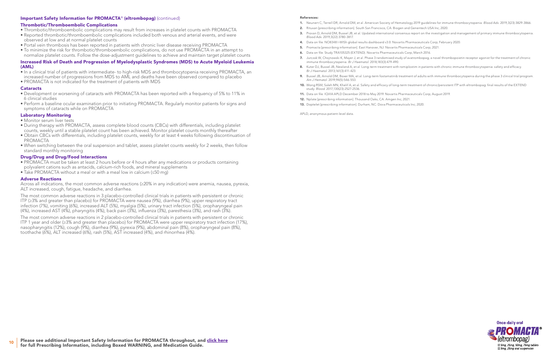#### Important Safety Information for PROMACTA® (eltrombopag) (continued)

#### Thrombotic/Thromboembolic Complications

- Thrombotic/thromboembolic complications may result from increases in platelet counts with PROMACTA
- Reported thrombotic/thromboembolic complications included both venous and arterial events, and were observed at low and at normal platelet counts
- Portal vein thrombosis has been reported in patients with chronic liver disease receiving PROMACTA
- To minimize the risk for thrombotic/thromboembolic complications, do not use PROMACTA in an attempt to normalize platelet counts. Follow the dose-adjustment guidelines to achieve and maintain target platelet counts

- Monitor serum liver tests
- During therapy with PROMACTA, assess complete blood counts (CBCs) with differentials, including platelet counts, weekly until a stable platelet count has been achieved. Monitor platelet counts monthly thereafter
- Obtain CBCs with differentials, including platelet counts, weekly for at least 4 weeks following discontinuation of PROMACTA
- When switching between the oral suspension and tablet, assess platelet counts weekly for 2 weeks, then follow standard monthly monitoring

#### Increased Risk of Death and Progression of Myelodysplastic Syndromes (MDS) to Acute Myeloid Leukemia (AML)

- In a clinical trial of patients with intermediate- to high-risk MDS and thrombocytopenia receiving PROMACTA, an increased number of progressions from MDS to AML and deaths have been observed compared to placebo
- PROMACTA is not indicated for the treatment of patients with MDS

#### **Cataracts**

- Development or worsening of cataracts with PROMACTA has been reported with a frequency of 5% to 11% in 6 clinical studies
- Perform a baseline ocular examination prior to initiating PROMACTA. Regularly monitor patients for signs and symptoms of cataracts while on PROMACTA

#### Laboratory Monitoring

#### Drug/Drug and Drug/Food Interactions

- PROMACTA must be taken at least 2 hours before or 4 hours after any medications or products containing polyvalent cations such as antacids, calcium-rich foods, and mineral supplements
- Take PROMACTA without a meal or with a meal low in calcium (≤50 mg)

#### Adverse Reactions

Across all indications, the most common adverse reactions (≥20% in any indication) were anemia, nausea, pyrexia, ALT increased, cough, fatigue, headache, and diarrhea.

- 
- 2. Rituxan [prescribing information]. South San Francisco, CA: Biogen and Genentech USA Inc; 2020.
- *Blood Adv*. 2019;3(22):3780-3817.
- 4. Data on file. NO8348 I-WISh global results dashboard v3.0. Novartis Pharmaceuticals Corp; February 2020.
- 5. Promacta [prescribing information]. East Hanover, NJ: Novartis Pharmaceuticals Corp; 2021.
- 6. Data on file. Study TRA105325 (EXTEND). Novartis Pharmaceuticals Corp; March 2016.
- immune thrombocytopenia. *Br J Haematol*. 2018;183(3):479-490.
- *Br J Haematol*. 2013;161(3):411-423.
- *Am J Hematol*. 2019;94(5):546-553.
- study. *Blood*. 2017;130(23):2527-2536.
- 11. Data on file. IQVIA APLD December 2018 to May 2019. Novartis Pharmaceuticals Corp; August 2019.
- 12. Nplate [prescribing information]. Thousand Oaks, CA: Amgen Inc; 2021.
- 13. Doptelet [prescribing information]. Durham, NC: Dova Pharmaceuticals Inc; 2020.

The most common adverse reactions in 3 placebo-controlled clinical trials in patients with persistent or chronic ITP (≥3% and greater than placebo) for PROMACTA were nausea (9%), diarrhea (9%), upper respiratory tract infection (7%), vomiting (6%), increased ALT (5%), myalgia (5%), urinary tract infection (5%), oropharyngeal pain (4%), increased AST (4%), pharyngitis (4%), back pain (3%), influenza (3%), paresthesia (3%), and rash (3%).

The most common adverse reactions in 2 placebo-controlled clinical trials in patients with persistent or chronic ITP 1 year and older (≥3% and greater than placebo) for PROMACTA were upper respiratory tract infection (17%), nasopharyngitis (12%), cough (9%), diarrhea (9%), pyrexia (9%), abdominal pain (8%), oropharyngeal pain (8%), toothache (6%), ALT increased (6%), rash (5%), AST increased (4%), and rhinorrhea (4%).

#### References:

1. Neunert C, Terrell DR, Arnold DM, et al. American Society of Hematology 2019 guidelines for immune thrombocytopenia. *Blood Adv*. 2019;3(23):3829-3866.

3. Provan D, Arnold DM, Bussel JB, et al. Updated international consensus report on the investigation and management of primary immune thrombocytopenia.

7. Jurczak W, Chojnowski K, Mayer J, et al. Phase 3 randomised study of avatrombopag, a novel thrombopoietin receptor agonist for the treatment of chronic

8. Kuter DJ, Bussel JB, Newland A, et al. Long-term treatment with romiplostim in patients with chronic immune thrombocytopenia: safety and efficacy.

9. Bussel JB, Arnold DM, Boxer MA, et al. Long-term fostamatinib treatment of adults with immune thrombocytopenia during the phase 3 clinical trial program.

10. Wong RSM, Saleh MN, Khelif A, et al. Safety and efficacy of long-term treatment of chronic/persistent ITP with eltrombopag: final results of the EXTEND



APLD, anonymous patient-level data.